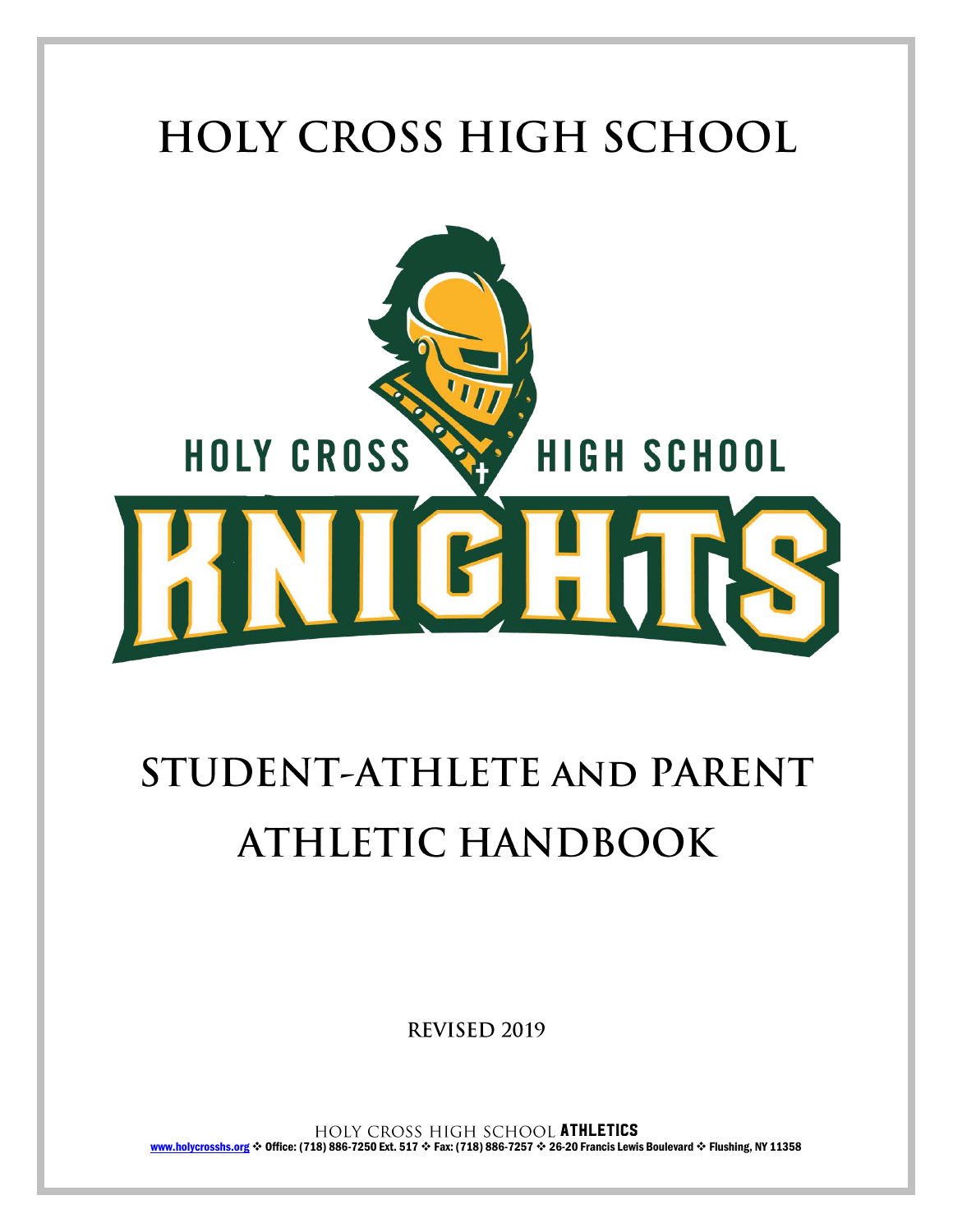

# STUDENT-ATHLETE AND PARENT **ATHLETIC HANDBOOK**

REVISED 2019

HOLY CROSS HIGH SCHOOL ATHLETICS [www.holycrosshs.org](http://www.holycrosshs.org/) \* Office: (718) 886-7250 Ext. 517 \* Fax: (718) 886-7257 \* 26-20 Francis Lewis Boulevard \* Flushing, NY 11358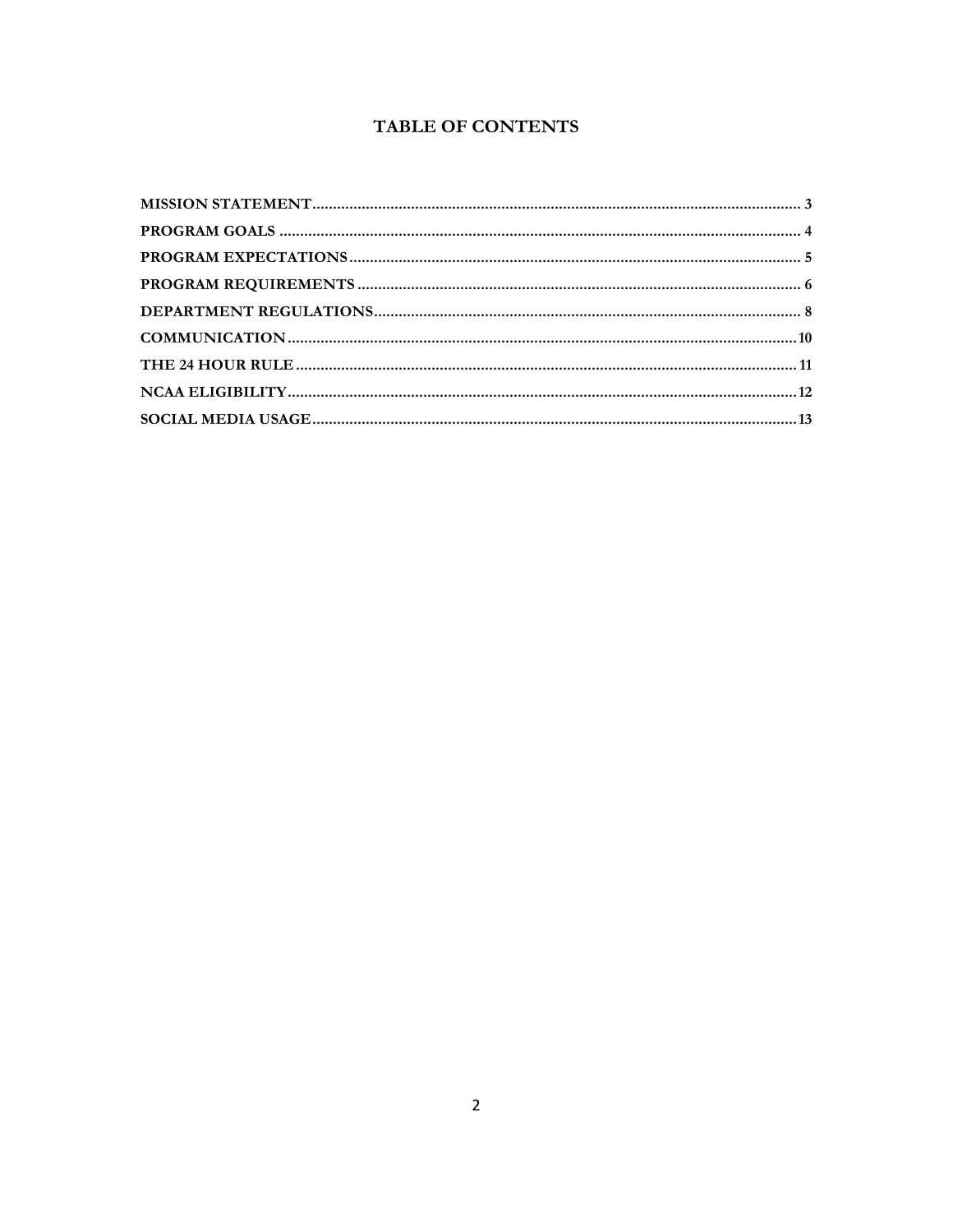# TABLE OF CONTENTS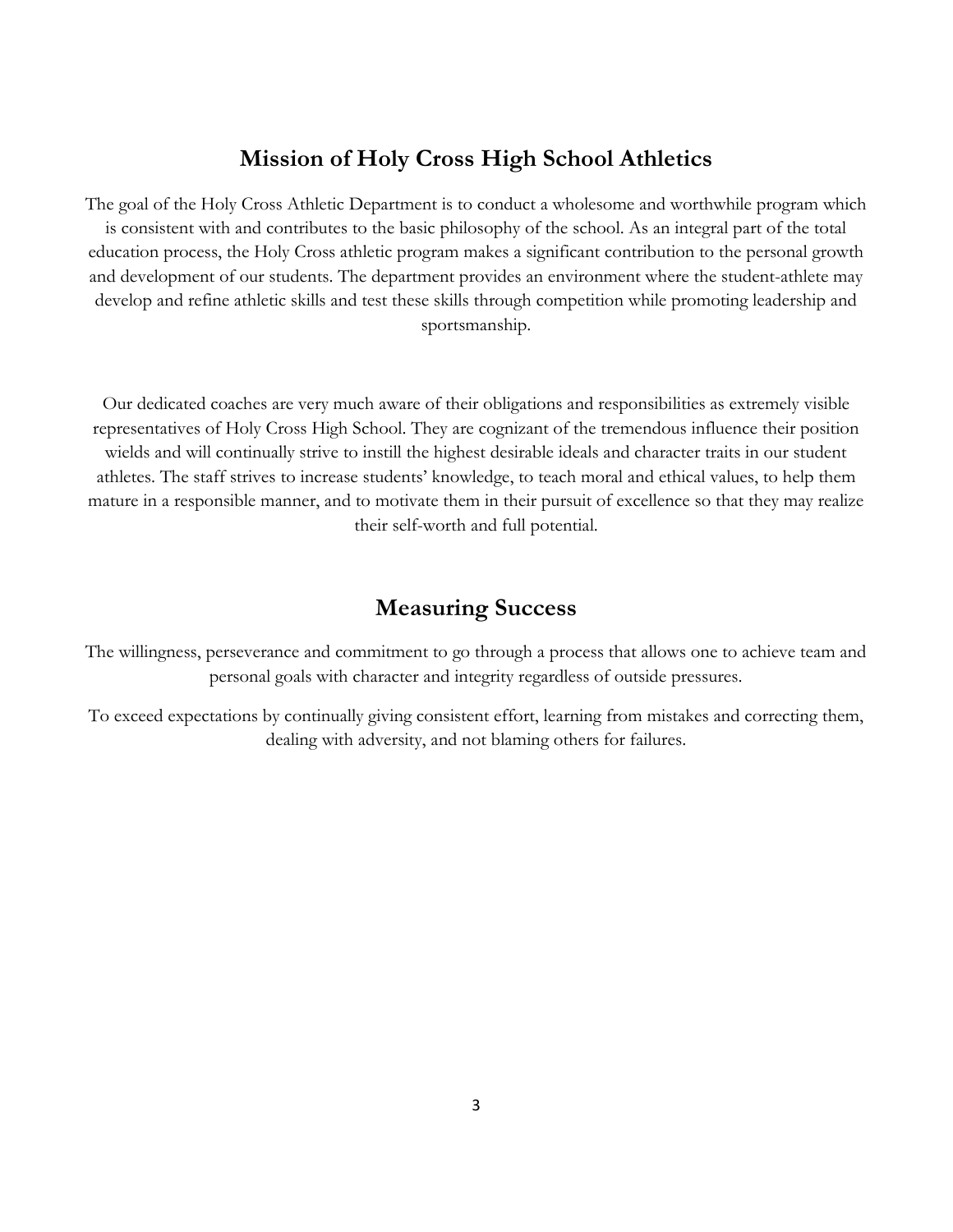## **Mission of Holy Cross High School Athletics**

The goal of the Holy Cross Athletic Department is to conduct a wholesome and worthwhile program which is consistent with and contributes to the basic philosophy of the school. As an integral part of the total education process, the Holy Cross athletic program makes a significant contribution to the personal growth and development of our students. The department provides an environment where the student-athlete may develop and refine athletic skills and test these skills through competition while promoting leadership and sportsmanship.

Our dedicated coaches are very much aware of their obligations and responsibilities as extremely visible representatives of Holy Cross High School. They are cognizant of the tremendous influence their position wields and will continually strive to instill the highest desirable ideals and character traits in our student athletes. The staff strives to increase students' knowledge, to teach moral and ethical values, to help them mature in a responsible manner, and to motivate them in their pursuit of excellence so that they may realize their self-worth and full potential.

# **Measuring Success**

The willingness, perseverance and commitment to go through a process that allows one to achieve team and personal goals with character and integrity regardless of outside pressures.

To exceed expectations by continually giving consistent effort, learning from mistakes and correcting them, dealing with adversity, and not blaming others for failures.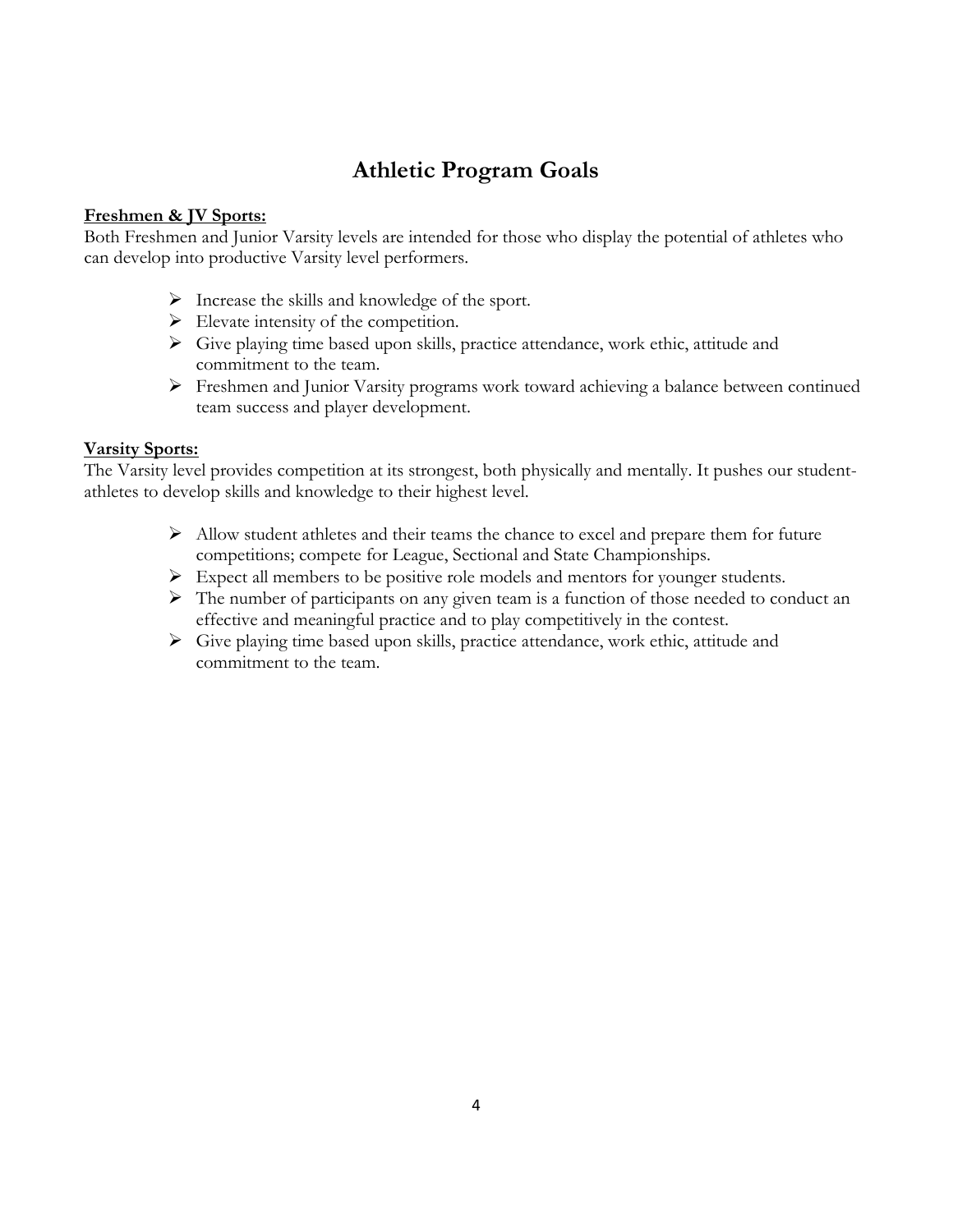# **Athletic Program Goals**

## **Freshmen & JV Sports:**

Both Freshmen and Junior Varsity levels are intended for those who display the potential of athletes who can develop into productive Varsity level performers.

- $\triangleright$  Increase the skills and knowledge of the sport.
- $\triangleright$  Elevate intensity of the competition.
- $\triangleright$  Give playing time based upon skills, practice attendance, work ethic, attitude and commitment to the team.
- Freshmen and Junior Varsity programs work toward achieving a balance between continued team success and player development.

## **Varsity Sports:**

The Varsity level provides competition at its strongest, both physically and mentally. It pushes our studentathletes to develop skills and knowledge to their highest level.

- $\triangleright$  Allow student athletes and their teams the chance to excel and prepare them for future competitions; compete for League, Sectional and State Championships.
- $\triangleright$  Expect all members to be positive role models and mentors for younger students.
- $\triangleright$  The number of participants on any given team is a function of those needed to conduct an effective and meaningful practice and to play competitively in the contest.
- $\triangleright$  Give playing time based upon skills, practice attendance, work ethic, attitude and commitment to the team.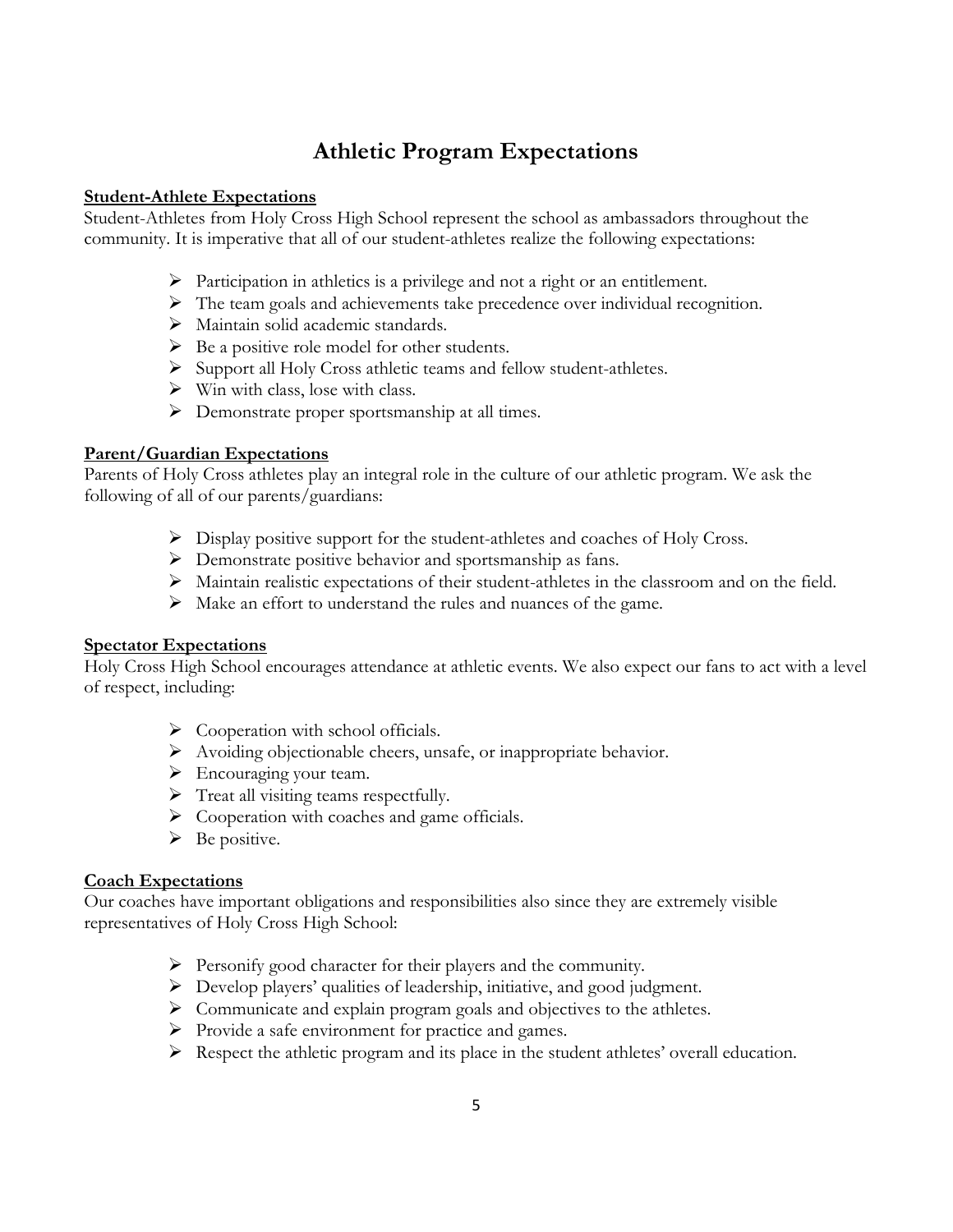# **Athletic Program Expectations**

### **Student-Athlete Expectations**

Student-Athletes from Holy Cross High School represent the school as ambassadors throughout the community. It is imperative that all of our student-athletes realize the following expectations:

- $\triangleright$  Participation in athletics is a privilege and not a right or an entitlement.
- The team goals and achievements take precedence over individual recognition.
- > Maintain solid academic standards.
- $\triangleright$  Be a positive role model for other students.
- $\triangleright$  Support all Holy Cross athletic teams and fellow student-athletes.
- $\triangleright$  Win with class, lose with class.
- $\triangleright$  Demonstrate proper sportsmanship at all times.

## **Parent/Guardian Expectations**

Parents of Holy Cross athletes play an integral role in the culture of our athletic program. We ask the following of all of our parents/guardians:

- Display positive support for the student-athletes and coaches of Holy Cross.
- Demonstrate positive behavior and sportsmanship as fans.
- Maintain realistic expectations of their student-athletes in the classroom and on the field.
- Make an effort to understand the rules and nuances of the game.

#### **Spectator Expectations**

Holy Cross High School encourages attendance at athletic events. We also expect our fans to act with a level of respect, including:

- $\triangleright$  Cooperation with school officials.
- Avoiding objectionable cheers, unsafe, or inappropriate behavior.
- > Encouraging your team.
- > Treat all visiting teams respectfully.
- $\triangleright$  Cooperation with coaches and game officials.
- $\triangleright$  Be positive.

#### **Coach Expectations**

Our coaches have important obligations and responsibilities also since they are extremely visible representatives of Holy Cross High School:

- $\triangleright$  Personify good character for their players and the community.
- Develop players' qualities of leadership, initiative, and good judgment.
- Communicate and explain program goals and objectives to the athletes.
- Provide a safe environment for practice and games.
- $\triangleright$  Respect the athletic program and its place in the student athletes' overall education.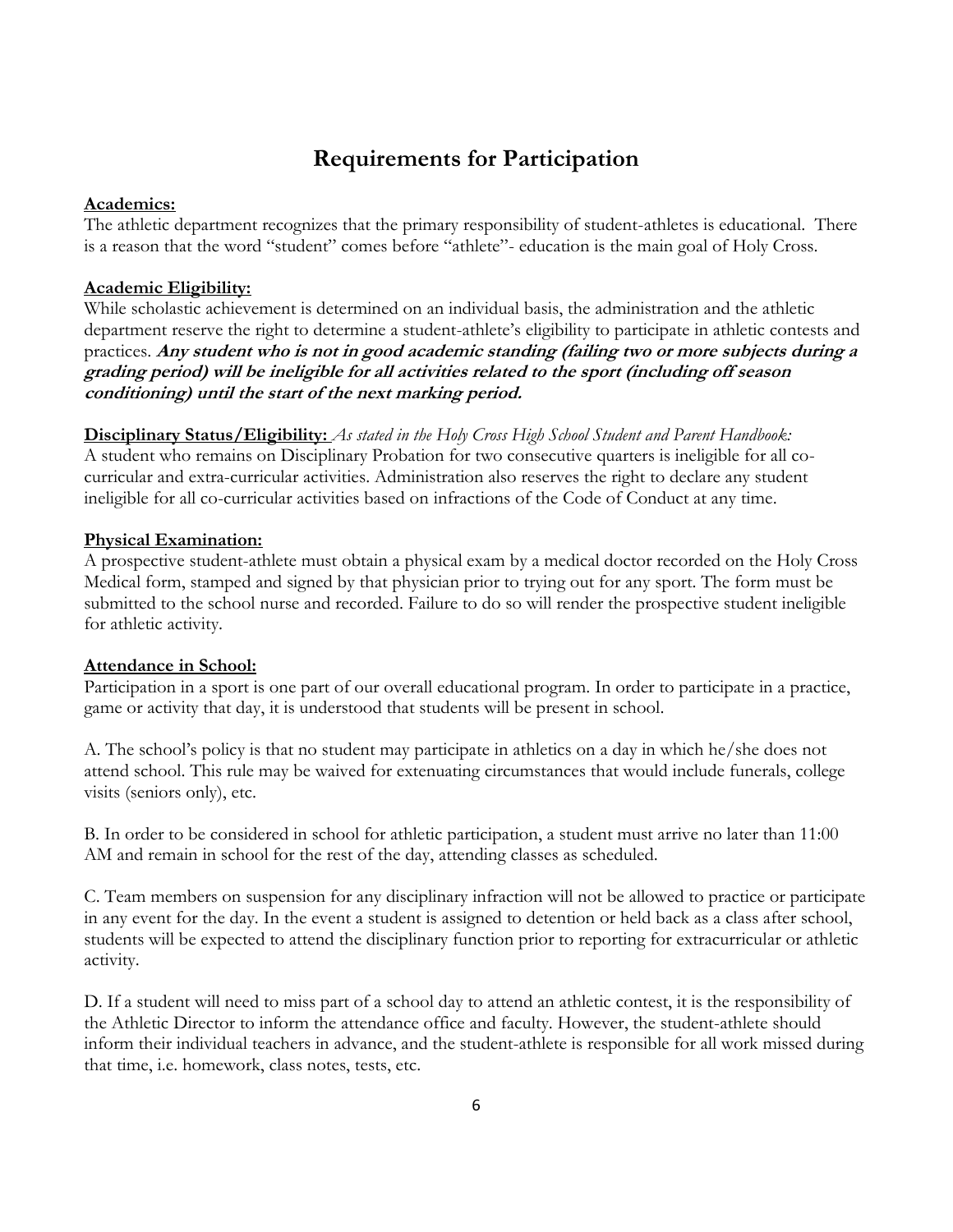# **Requirements for Participation**

#### **Academics:**

The athletic department recognizes that the primary responsibility of student-athletes is educational. There is a reason that the word "student" comes before "athlete"- education is the main goal of Holy Cross.

#### **Academic Eligibility:**

While scholastic achievement is determined on an individual basis, the administration and the athletic department reserve the right to determine a student-athlete's eligibility to participate in athletic contests and practices. **Any student who is not in good academic standing (failing two or more subjects during a grading period) will be ineligible for all activities related to the sport (including off season conditioning) until the start of the next marking period.**

**Disciplinary Status/Eligibility:** *As stated in the Holy Cross High School Student and Parent Handbook:* A student who remains on Disciplinary Probation for two consecutive quarters is ineligible for all cocurricular and extra-curricular activities. Administration also reserves the right to declare any student ineligible for all co-curricular activities based on infractions of the Code of Conduct at any time.

#### **Physical Examination:**

A prospective student-athlete must obtain a physical exam by a medical doctor recorded on the Holy Cross Medical form, stamped and signed by that physician prior to trying out for any sport. The form must be submitted to the school nurse and recorded. Failure to do so will render the prospective student ineligible for athletic activity.

#### **Attendance in School:**

Participation in a sport is one part of our overall educational program. In order to participate in a practice, game or activity that day, it is understood that students will be present in school.

A. The school's policy is that no student may participate in athletics on a day in which he/she does not attend school. This rule may be waived for extenuating circumstances that would include funerals, college visits (seniors only), etc.

B. In order to be considered in school for athletic participation, a student must arrive no later than 11:00 AM and remain in school for the rest of the day, attending classes as scheduled.

C. Team members on suspension for any disciplinary infraction will not be allowed to practice or participate in any event for the day. In the event a student is assigned to detention or held back as a class after school, students will be expected to attend the disciplinary function prior to reporting for extracurricular or athletic activity.

D. If a student will need to miss part of a school day to attend an athletic contest, it is the responsibility of the Athletic Director to inform the attendance office and faculty. However, the student-athlete should inform their individual teachers in advance, and the student-athlete is responsible for all work missed during that time, i.e. homework, class notes, tests, etc.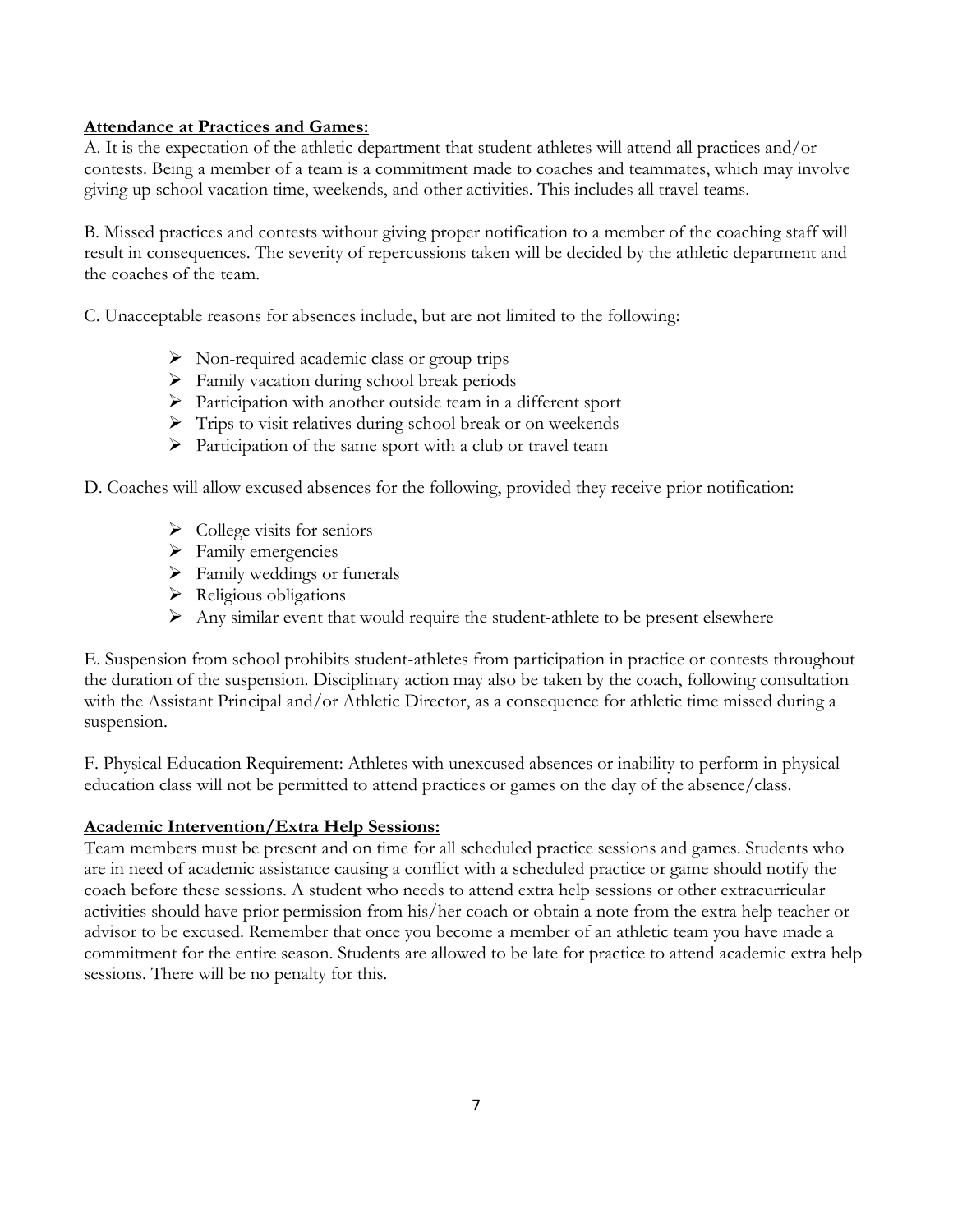#### **Attendance at Practices and Games:**

A. It is the expectation of the athletic department that student-athletes will attend all practices and/or contests. Being a member of a team is a commitment made to coaches and teammates, which may involve giving up school vacation time, weekends, and other activities. This includes all travel teams.

B. Missed practices and contests without giving proper notification to a member of the coaching staff will result in consequences. The severity of repercussions taken will be decided by the athletic department and the coaches of the team.

C. Unacceptable reasons for absences include, but are not limited to the following:

- $\triangleright$  Non-required academic class or group trips
- $\triangleright$  Family vacation during school break periods
- Participation with another outside team in a different sport
- $\triangleright$  Trips to visit relatives during school break or on weekends
- $\triangleright$  Participation of the same sport with a club or travel team

D. Coaches will allow excused absences for the following, provided they receive prior notification:

- $\triangleright$  College visits for seniors
- $\triangleright$  Family emergencies
- $\triangleright$  Family weddings or funerals
- $\triangleright$  Religious obligations
- $\triangleright$  Any similar event that would require the student-athlete to be present elsewhere

E. Suspension from school prohibits student-athletes from participation in practice or contests throughout the duration of the suspension. Disciplinary action may also be taken by the coach, following consultation with the Assistant Principal and/or Athletic Director, as a consequence for athletic time missed during a suspension.

F. Physical Education Requirement: Athletes with unexcused absences or inability to perform in physical education class will not be permitted to attend practices or games on the day of the absence/class.

#### **Academic Intervention/Extra Help Sessions:**

Team members must be present and on time for all scheduled practice sessions and games. Students who are in need of academic assistance causing a conflict with a scheduled practice or game should notify the coach before these sessions. A student who needs to attend extra help sessions or other extracurricular activities should have prior permission from his/her coach or obtain a note from the extra help teacher or advisor to be excused. Remember that once you become a member of an athletic team you have made a commitment for the entire season. Students are allowed to be late for practice to attend academic extra help sessions. There will be no penalty for this.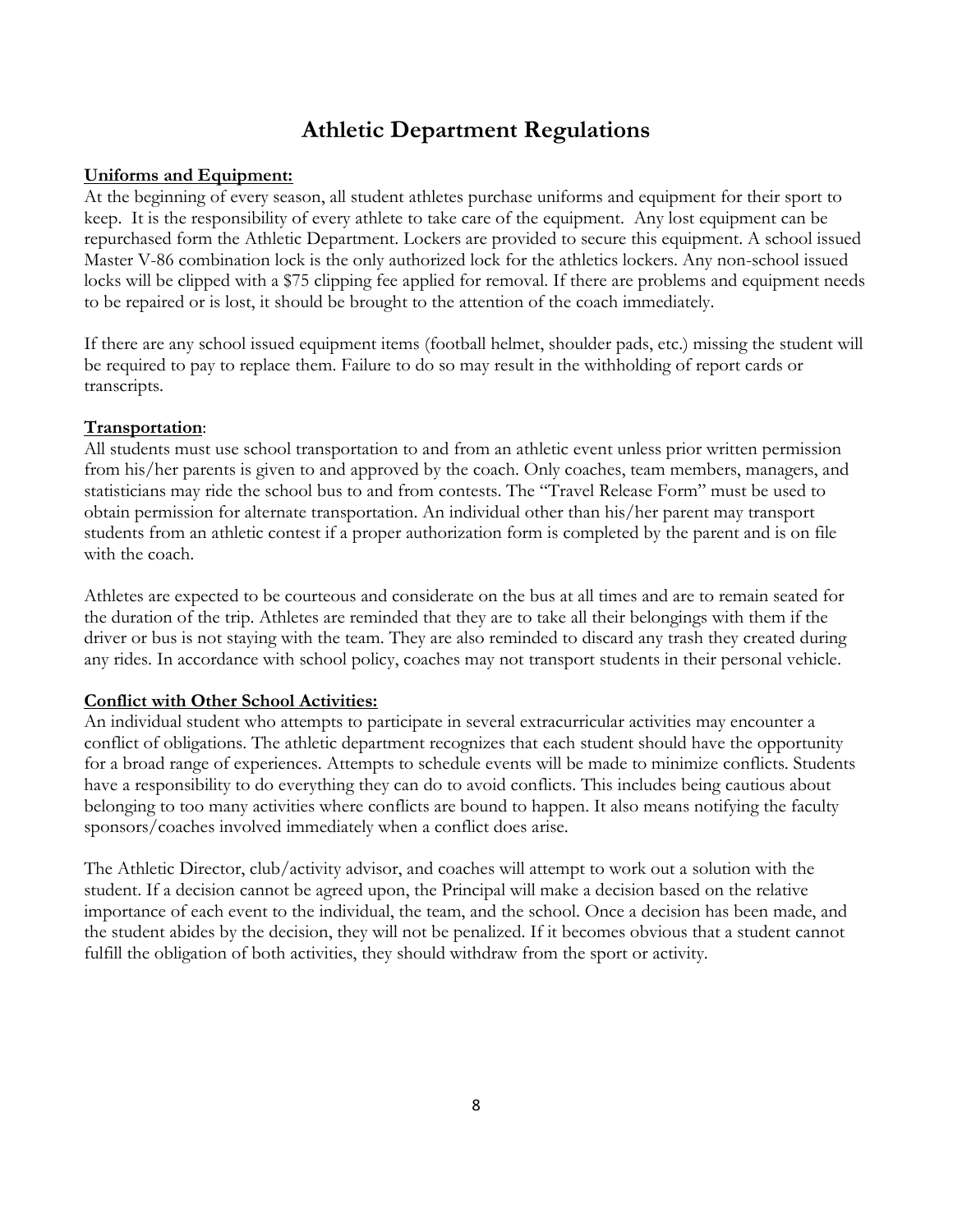# **Athletic Department Regulations**

#### **Uniforms and Equipment:**

At the beginning of every season, all student athletes purchase uniforms and equipment for their sport to keep. It is the responsibility of every athlete to take care of the equipment. Any lost equipment can be repurchased form the Athletic Department. Lockers are provided to secure this equipment. A school issued Master V-86 combination lock is the only authorized lock for the athletics lockers. Any non-school issued locks will be clipped with a \$75 clipping fee applied for removal. If there are problems and equipment needs to be repaired or is lost, it should be brought to the attention of the coach immediately.

If there are any school issued equipment items (football helmet, shoulder pads, etc.) missing the student will be required to pay to replace them. Failure to do so may result in the withholding of report cards or transcripts.

#### **Transportation**:

All students must use school transportation to and from an athletic event unless prior written permission from his/her parents is given to and approved by the coach. Only coaches, team members, managers, and statisticians may ride the school bus to and from contests. The "Travel Release Form" must be used to obtain permission for alternate transportation. An individual other than his/her parent may transport students from an athletic contest if a proper authorization form is completed by the parent and is on file with the coach.

Athletes are expected to be courteous and considerate on the bus at all times and are to remain seated for the duration of the trip. Athletes are reminded that they are to take all their belongings with them if the driver or bus is not staying with the team. They are also reminded to discard any trash they created during any rides. In accordance with school policy, coaches may not transport students in their personal vehicle.

#### **Conflict with Other School Activities:**

An individual student who attempts to participate in several extracurricular activities may encounter a conflict of obligations. The athletic department recognizes that each student should have the opportunity for a broad range of experiences. Attempts to schedule events will be made to minimize conflicts. Students have a responsibility to do everything they can do to avoid conflicts. This includes being cautious about belonging to too many activities where conflicts are bound to happen. It also means notifying the faculty sponsors/coaches involved immediately when a conflict does arise.

The Athletic Director, club/activity advisor, and coaches will attempt to work out a solution with the student. If a decision cannot be agreed upon, the Principal will make a decision based on the relative importance of each event to the individual, the team, and the school. Once a decision has been made, and the student abides by the decision, they will not be penalized. If it becomes obvious that a student cannot fulfill the obligation of both activities, they should withdraw from the sport or activity.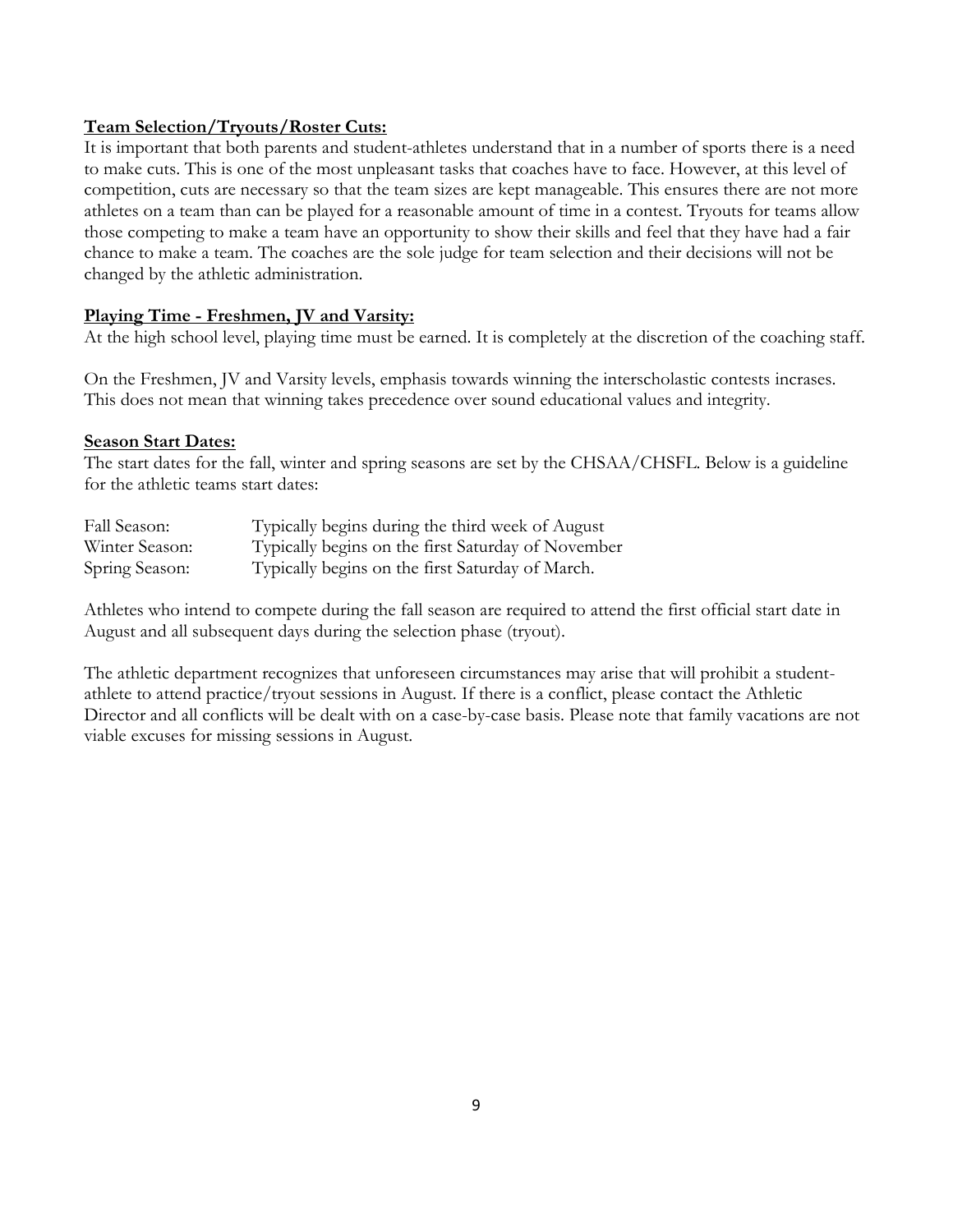#### **Team Selection/Tryouts/Roster Cuts:**

It is important that both parents and student-athletes understand that in a number of sports there is a need to make cuts. This is one of the most unpleasant tasks that coaches have to face. However, at this level of competition, cuts are necessary so that the team sizes are kept manageable. This ensures there are not more athletes on a team than can be played for a reasonable amount of time in a contest. Tryouts for teams allow those competing to make a team have an opportunity to show their skills and feel that they have had a fair chance to make a team. The coaches are the sole judge for team selection and their decisions will not be changed by the athletic administration.

#### **Playing Time - Freshmen, JV and Varsity:**

At the high school level, playing time must be earned. It is completely at the discretion of the coaching staff.

On the Freshmen, JV and Varsity levels, emphasis towards winning the interscholastic contests incrases. This does not mean that winning takes precedence over sound educational values and integrity.

#### **Season Start Dates:**

The start dates for the fall, winter and spring seasons are set by the CHSAA/CHSFL. Below is a guideline for the athletic teams start dates:

| Fall Season:   | Typically begins during the third week of August   |
|----------------|----------------------------------------------------|
| Winter Season: | Typically begins on the first Saturday of November |
| Spring Season: | Typically begins on the first Saturday of March.   |

Athletes who intend to compete during the fall season are required to attend the first official start date in August and all subsequent days during the selection phase (tryout).

The athletic department recognizes that unforeseen circumstances may arise that will prohibit a studentathlete to attend practice/tryout sessions in August. If there is a conflict, please contact the Athletic Director and all conflicts will be dealt with on a case-by-case basis. Please note that family vacations are not viable excuses for missing sessions in August.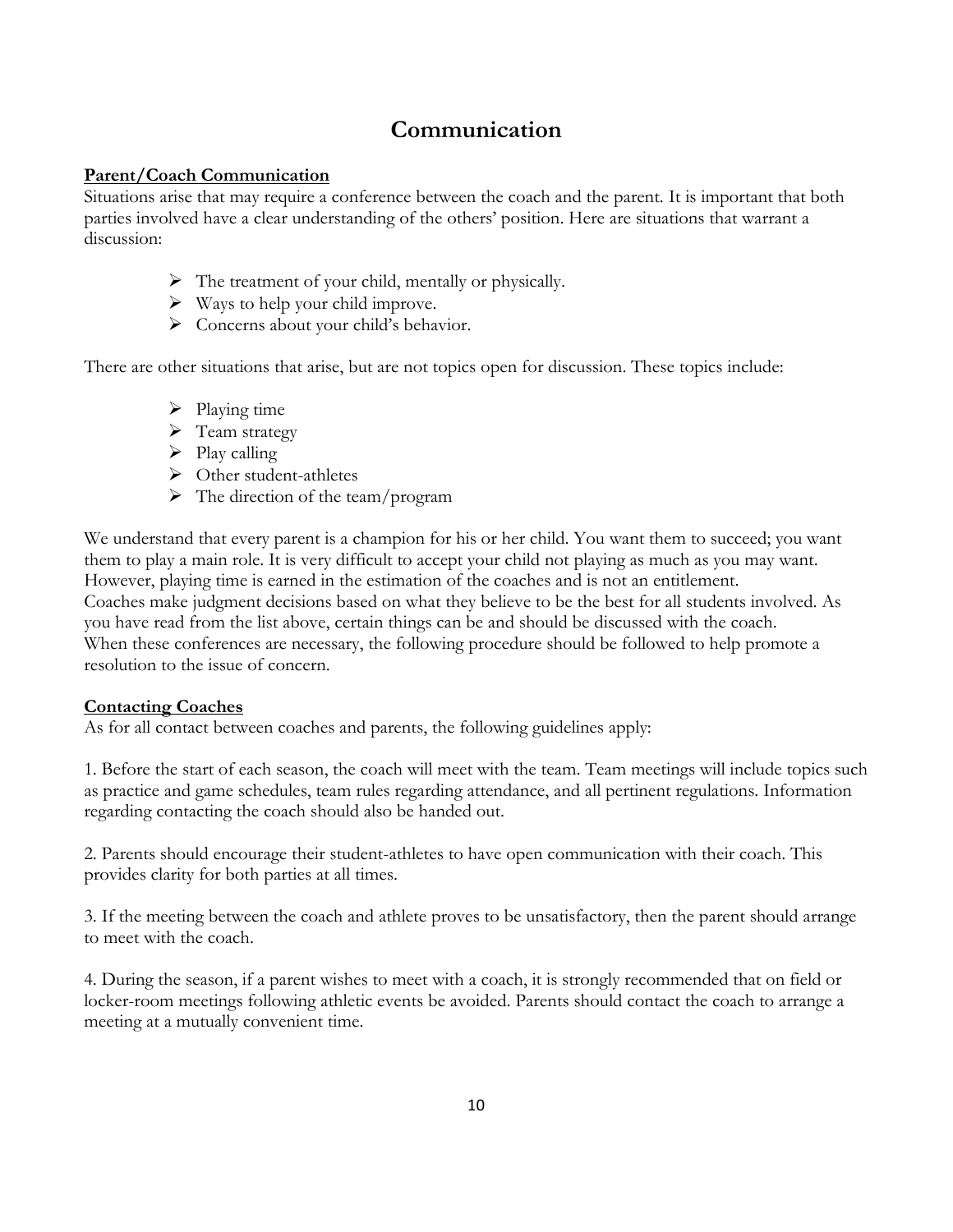# **Communication**

## **Parent/Coach Communication**

Situations arise that may require a conference between the coach and the parent. It is important that both parties involved have a clear understanding of the others' position. Here are situations that warrant a discussion:

- $\triangleright$  The treatment of your child, mentally or physically.
- $\triangleright$  Ways to help your child improve.
- > Concerns about your child's behavior.

There are other situations that arise, but are not topics open for discussion. These topics include:

- $\triangleright$  Playing time
- $\triangleright$  Team strategy
- $\triangleright$  Play calling
- Other student-athletes
- $\triangleright$  The direction of the team/program

We understand that every parent is a champion for his or her child. You want them to succeed; you want them to play a main role. It is very difficult to accept your child not playing as much as you may want. However, playing time is earned in the estimation of the coaches and is not an entitlement. Coaches make judgment decisions based on what they believe to be the best for all students involved. As you have read from the list above, certain things can be and should be discussed with the coach. When these conferences are necessary, the following procedure should be followed to help promote a resolution to the issue of concern.

## **Contacting Coaches**

As for all contact between coaches and parents, the following guidelines apply:

1. Before the start of each season, the coach will meet with the team. Team meetings will include topics such as practice and game schedules, team rules regarding attendance, and all pertinent regulations. Information regarding contacting the coach should also be handed out.

2. Parents should encourage their student-athletes to have open communication with their coach. This provides clarity for both parties at all times.

3. If the meeting between the coach and athlete proves to be unsatisfactory, then the parent should arrange to meet with the coach.

4. During the season, if a parent wishes to meet with a coach, it is strongly recommended that on field or locker-room meetings following athletic events be avoided. Parents should contact the coach to arrange a meeting at a mutually convenient time.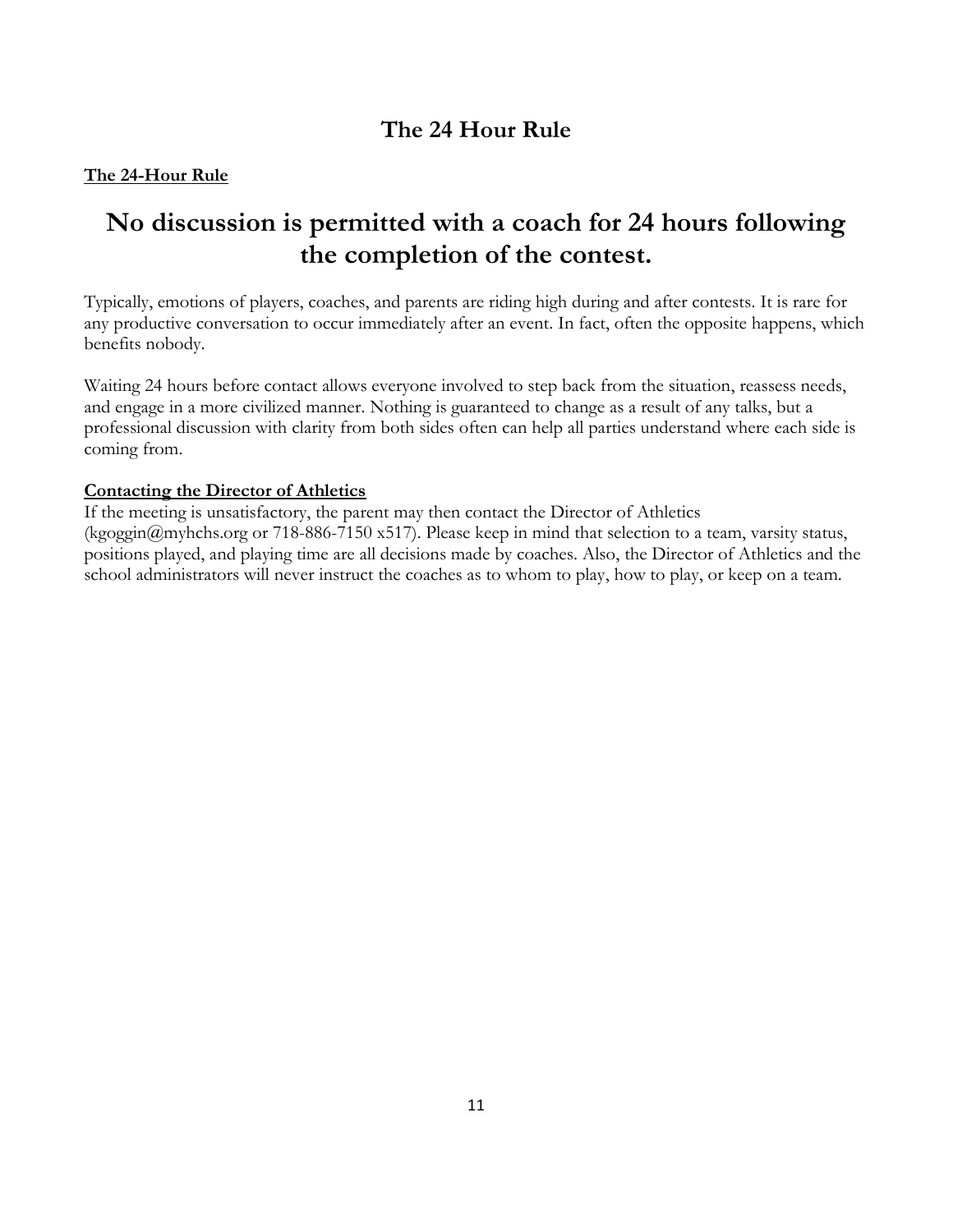# **The 24 Hour Rule**

## **The 24-Hour Rule**

# **No discussion is permitted with a coach for 24 hours following the completion of the contest.**

Typically, emotions of players, coaches, and parents are riding high during and after contests. It is rare for any productive conversation to occur immediately after an event. In fact, often the opposite happens, which benefits nobody.

Waiting 24 hours before contact allows everyone involved to step back from the situation, reassess needs, and engage in a more civilized manner. Nothing is guaranteed to change as a result of any talks, but a professional discussion with clarity from both sides often can help all parties understand where each side is coming from.

## **Contacting the Director of Athletics**

If the meeting is unsatisfactory, the parent may then contact the Director of Athletics (kgoggin@myhchs.org or 718-886-7150 x517). Please keep in mind that selection to a team, varsity status, positions played, and playing time are all decisions made by coaches. Also, the Director of Athletics and the school administrators will never instruct the coaches as to whom to play, how to play, or keep on a team.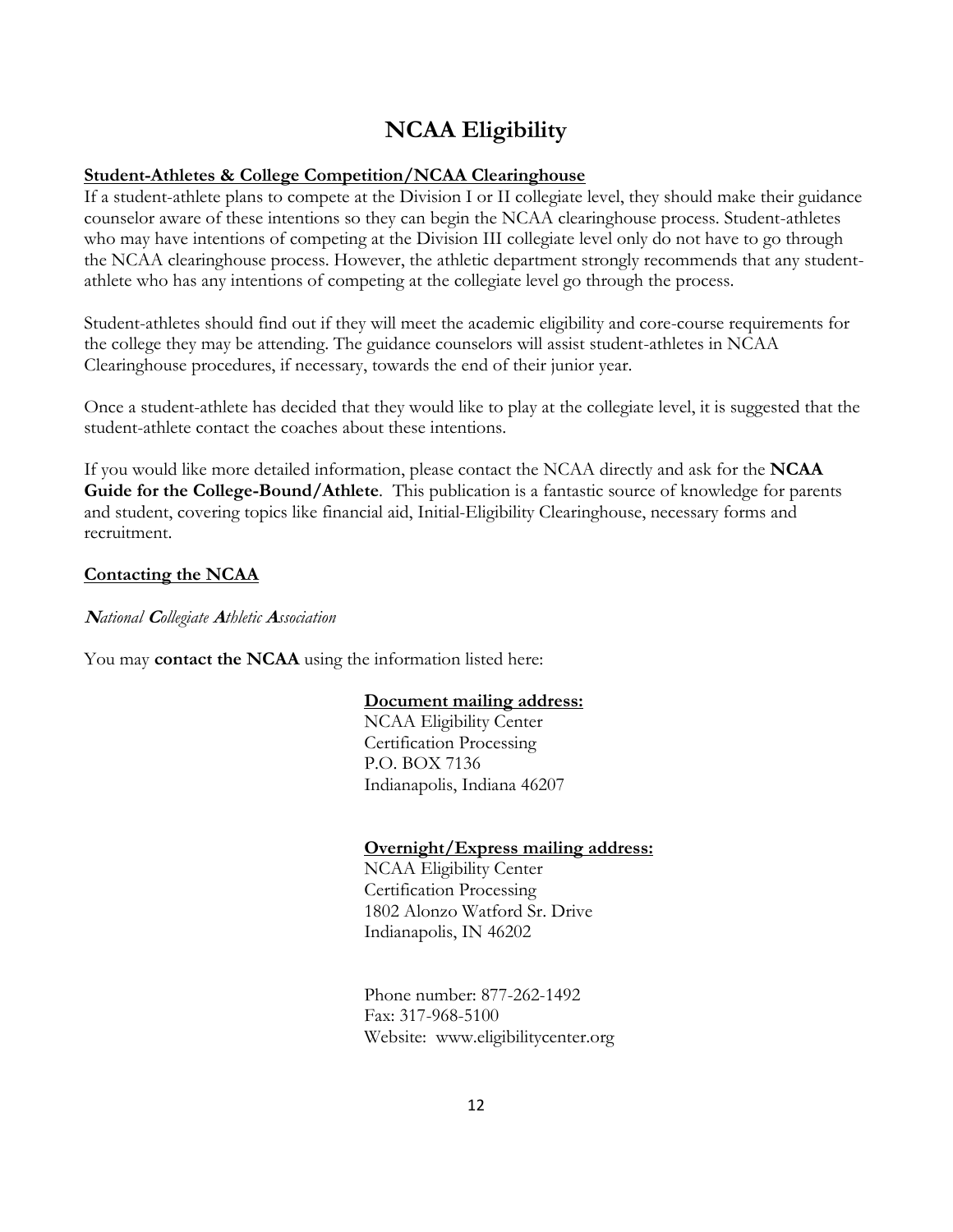# **NCAA Eligibility**

#### **Student-Athletes & College Competition/NCAA Clearinghouse**

If a student-athlete plans to compete at the Division I or II collegiate level, they should make their guidance counselor aware of these intentions so they can begin the NCAA clearinghouse process. Student-athletes who may have intentions of competing at the Division III collegiate level only do not have to go through the NCAA clearinghouse process. However, the athletic department strongly recommends that any studentathlete who has any intentions of competing at the collegiate level go through the process.

Student-athletes should find out if they will meet the academic eligibility and core-course requirements for the college they may be attending. The guidance counselors will assist student-athletes in NCAA Clearinghouse procedures, if necessary, towards the end of their junior year.

Once a student-athlete has decided that they would like to play at the collegiate level, it is suggested that the student-athlete contact the coaches about these intentions.

If you would like more detailed information, please contact the NCAA directly and ask for the **NCAA Guide for the College-Bound/Athlete**. This publication is a fantastic source of knowledge for parents and student, covering topics like financial aid, Initial-Eligibility Clearinghouse, necessary forms and recruitment.

#### **Contacting the NCAA**

**<sup>N</sup>***ational* **C***ollegiate* **A***thletic* **A***ssociation*

You may **contact the NCAA** using the information listed here:

#### **Document mailing address:**

NCAA Eligibility Center Certification Processing P.O. BOX 7136 Indianapolis, Indiana 46207

#### **Overnight/Express mailing address:**

NCAA Eligibility Center Certification Processing 1802 Alonzo Watford Sr. Drive Indianapolis, IN 46202

Phone number: 877-262-1492 Fax: 317-968-5100 Website: [www.eligibilitycenter.org](http://www.eligibilitycenter.org/)